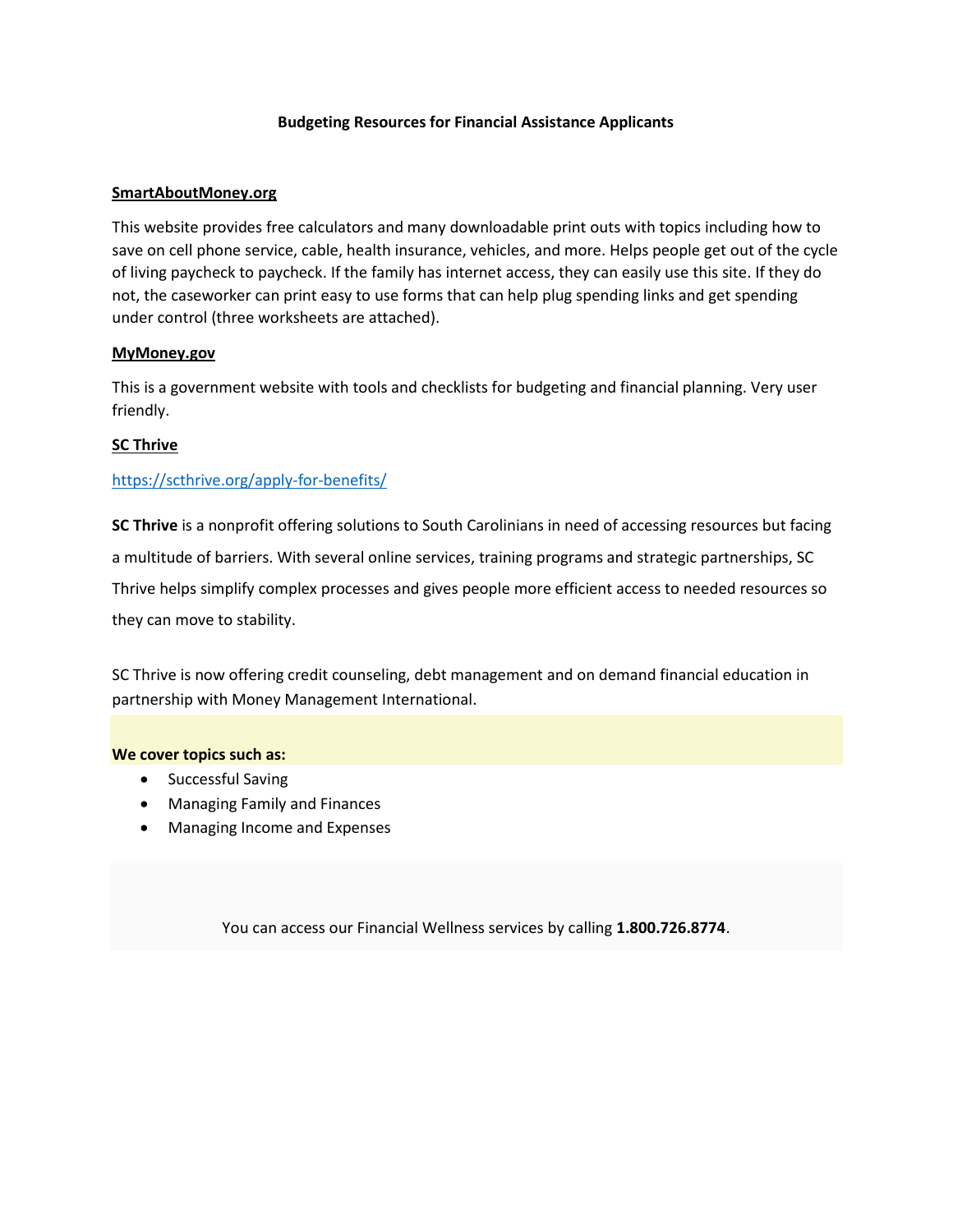#### **Budgeting Resources for Financial Assistance Applicants**

#### **SmartAboutMoney.org**

This website provides free calculators and many downloadable print outs with topics including how to save on cell phone service, cable, health insurance, vehicles, and more. Helps people get out of the cycle of living paycheck to paycheck. If the family has internet access, they can easily use this site. If they do not, the caseworker can print easy to use forms that can help plug spending links and get spending under control (three worksheets are attached).

#### **MyMoney.gov**

This is a government website with tools and checklists for budgeting and financial planning. Very user friendly.

#### **SC Thrive**

#### <https://scthrive.org/apply-for-benefits/>

**SC Thrive** is a nonprofit offering solutions to South Carolinians in need of accessing resources but facing a multitude of barriers. With several online services, training programs and strategic partnerships, SC Thrive helps simplify complex processes and gives people more efficient access to needed resources so they can move to stability.

SC Thrive is now offering credit counseling, debt management and on demand financial education in partnership with Money Management International.

#### **We cover topics such as:**

- Successful Saving
- Managing Family and Finances
- Managing Income and Expenses

You can access our Financial Wellness services by calling **1.800.726.8774**.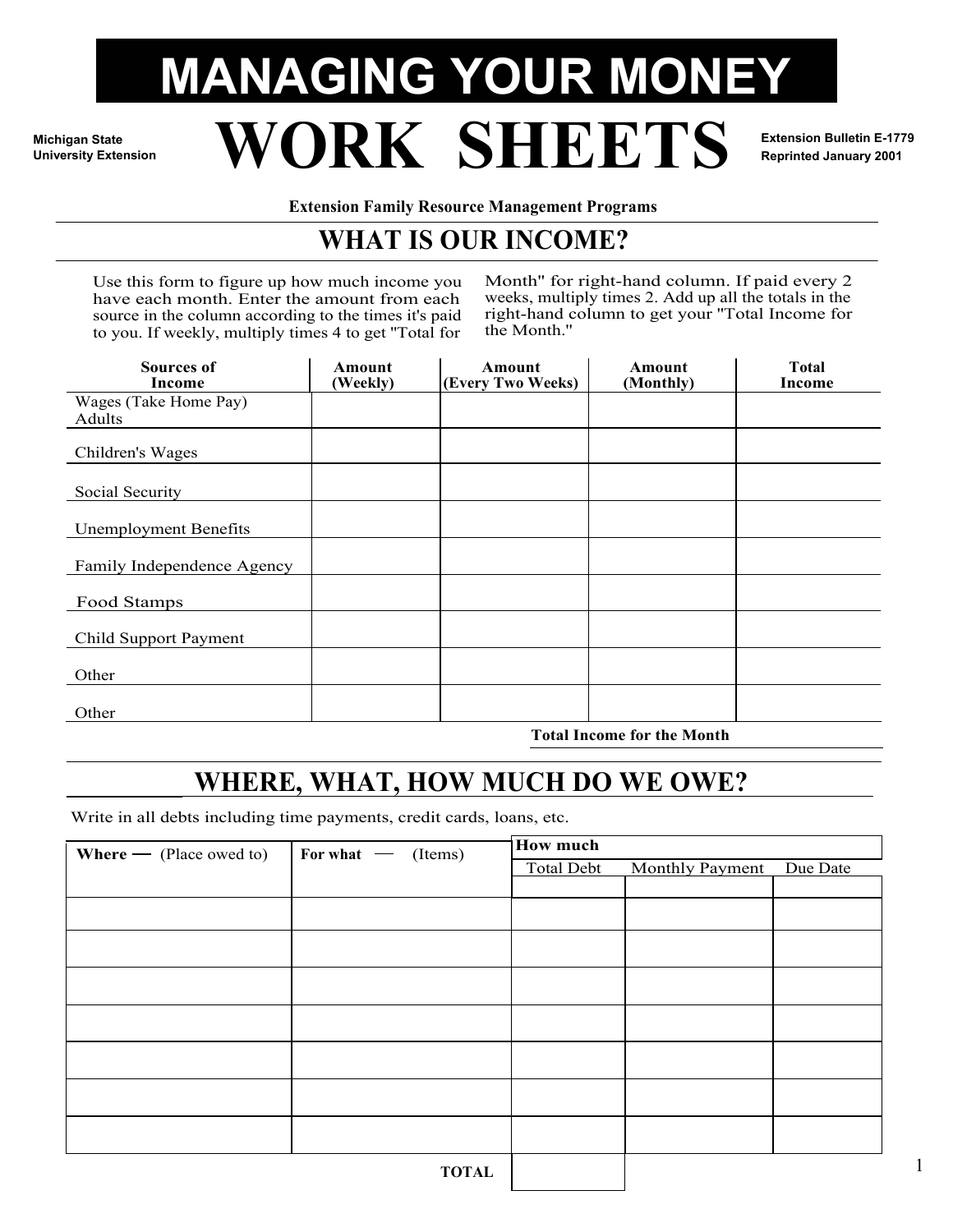# **MANAGING YOUR MONEY University Extension WORK SHEETS Extension Bulletin E-1779**

**Michigan State**

**Reprinted January 2001**

1

**Extension Family Resource Management Programs** 

## **WHAT IS OUR INCOME?**

Use this form to figure up how much income you have each month. Enter the amount from each source in the column according to the times it's paid to you. If weekly, multiply times 4 to get ''Total for

Month'' for right-hand column. If paid every 2 weeks, multiply times 2. Add up all the totals in the right-hand column to get your ''Total Income for the Month.''

| <b>Sources of</b><br>Income     | Amount<br>(Weekly) | <b>Amount</b><br>(Every Two Weeks) | Amount<br>(Monthly) | <b>Total</b><br>Income |
|---------------------------------|--------------------|------------------------------------|---------------------|------------------------|
| Wages (Take Home Pay)<br>Adults |                    |                                    |                     |                        |
| Children's Wages                |                    |                                    |                     |                        |
| Social Security                 |                    |                                    |                     |                        |
| <b>Unemployment Benefits</b>    |                    |                                    |                     |                        |
| Family Independence Agency      |                    |                                    |                     |                        |
| Food Stamps                     |                    |                                    |                     |                        |
| Child Support Payment           |                    |                                    |                     |                        |
| Other                           |                    |                                    |                     |                        |
| Other                           |                    |                                    |                     |                        |

**Total Income for the Month**

## **WHERE, WHAT, HOW MUCH DO WE OWE?**

Write in all debts including time payments, credit cards, loans, etc.

| <b>Where</b> $-$ (Place owed to) | For what $\qquad$ (Items) | <b>How much</b> |                        |          |  |  |  |
|----------------------------------|---------------------------|-----------------|------------------------|----------|--|--|--|
|                                  |                           | Total Debt      | <b>Monthly Payment</b> | Due Date |  |  |  |
|                                  |                           |                 |                        |          |  |  |  |
|                                  |                           |                 |                        |          |  |  |  |
|                                  |                           |                 |                        |          |  |  |  |
|                                  |                           |                 |                        |          |  |  |  |
|                                  |                           |                 |                        |          |  |  |  |
|                                  |                           |                 |                        |          |  |  |  |
|                                  |                           |                 |                        |          |  |  |  |
|                                  |                           |                 |                        |          |  |  |  |
|                                  |                           |                 |                        |          |  |  |  |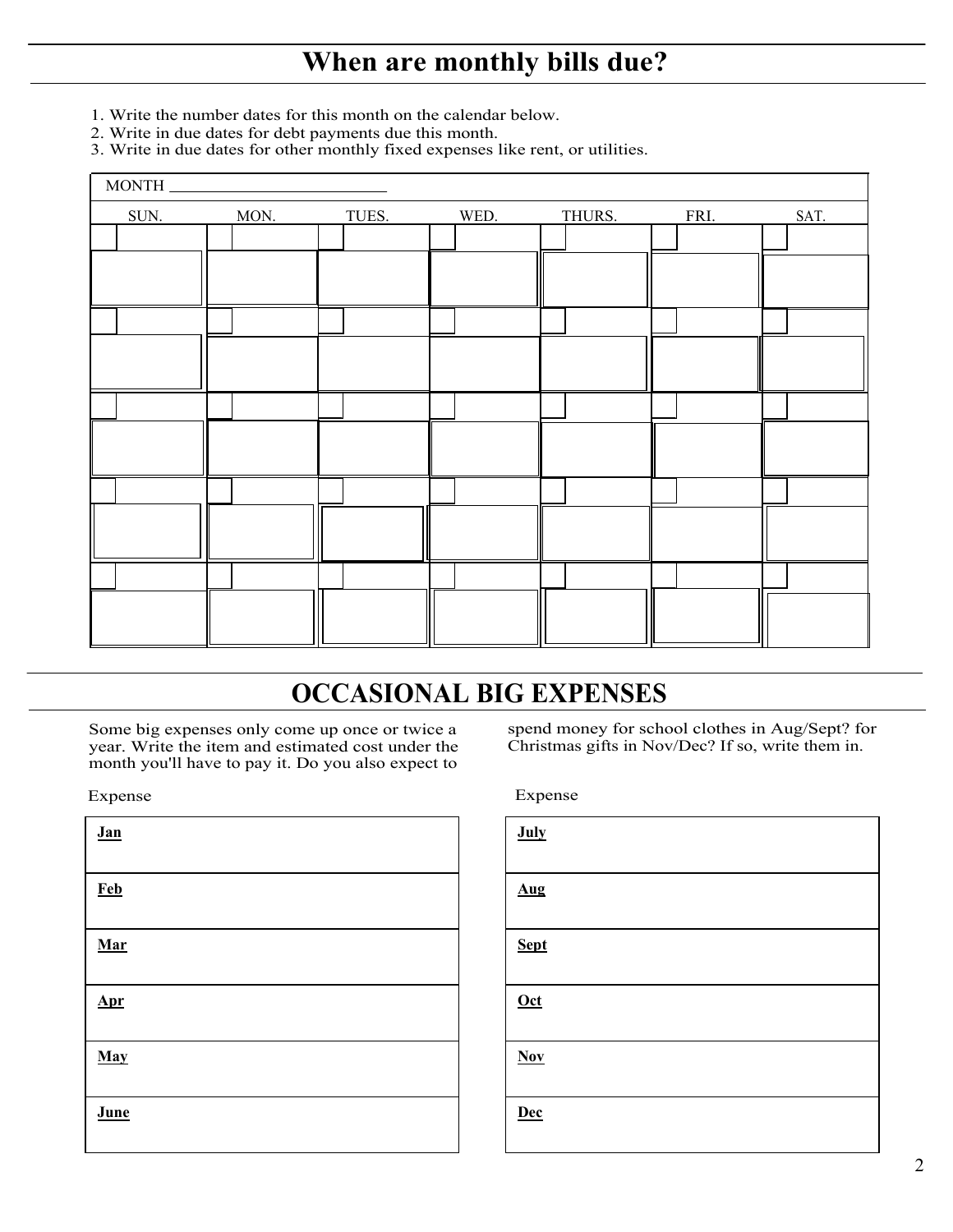## **When are monthly bills due?**

- 1. Write the number dates for this month on the calendar below.
- 2. Write in due dates for debt payments due this month.
- 3. Write in due dates for other monthly fixed expenses like rent, or utilities.

| MONTH. |      |       |      |        |      |      |
|--------|------|-------|------|--------|------|------|
| SUN.   | MON. | TUES. | WED. | THURS. | FRI. | SAT. |
|        |      |       |      |        |      |      |
|        |      |       |      |        |      |      |
|        |      |       |      |        |      |      |
|        |      |       |      |        |      |      |
|        |      |       |      |        |      |      |
|        |      |       |      |        |      |      |
|        |      |       |      |        |      |      |
|        |      |       |      |        |      |      |
|        |      |       |      |        |      |      |
|        |      |       |      |        |      |      |
|        |      |       |      |        |      |      |
|        |      |       |      |        |      |      |
|        |      |       |      |        |      |      |
|        |      |       |      |        |      |      |
|        |      |       |      |        |      |      |

## **OCCASIONAL BIG EXPENSES**

Some big expenses only come up once or twice a year. Write the item and estimated cost under the month you'll have to pay it. Do you also expect to

l

| Jan        |  |  |
|------------|--|--|
| <b>Feb</b> |  |  |
| Mar        |  |  |
| <u>Apr</u> |  |  |
| May        |  |  |
| June       |  |  |

spend money for school clothes in Aug/Sept? for Christmas gifts in Nov/Dec? If so, write them in.

Expense Expense

| July        |  |
|-------------|--|
| Aug         |  |
| <b>Sept</b> |  |
| $Oct$       |  |
| $Nov$       |  |
| <b>Dec</b>  |  |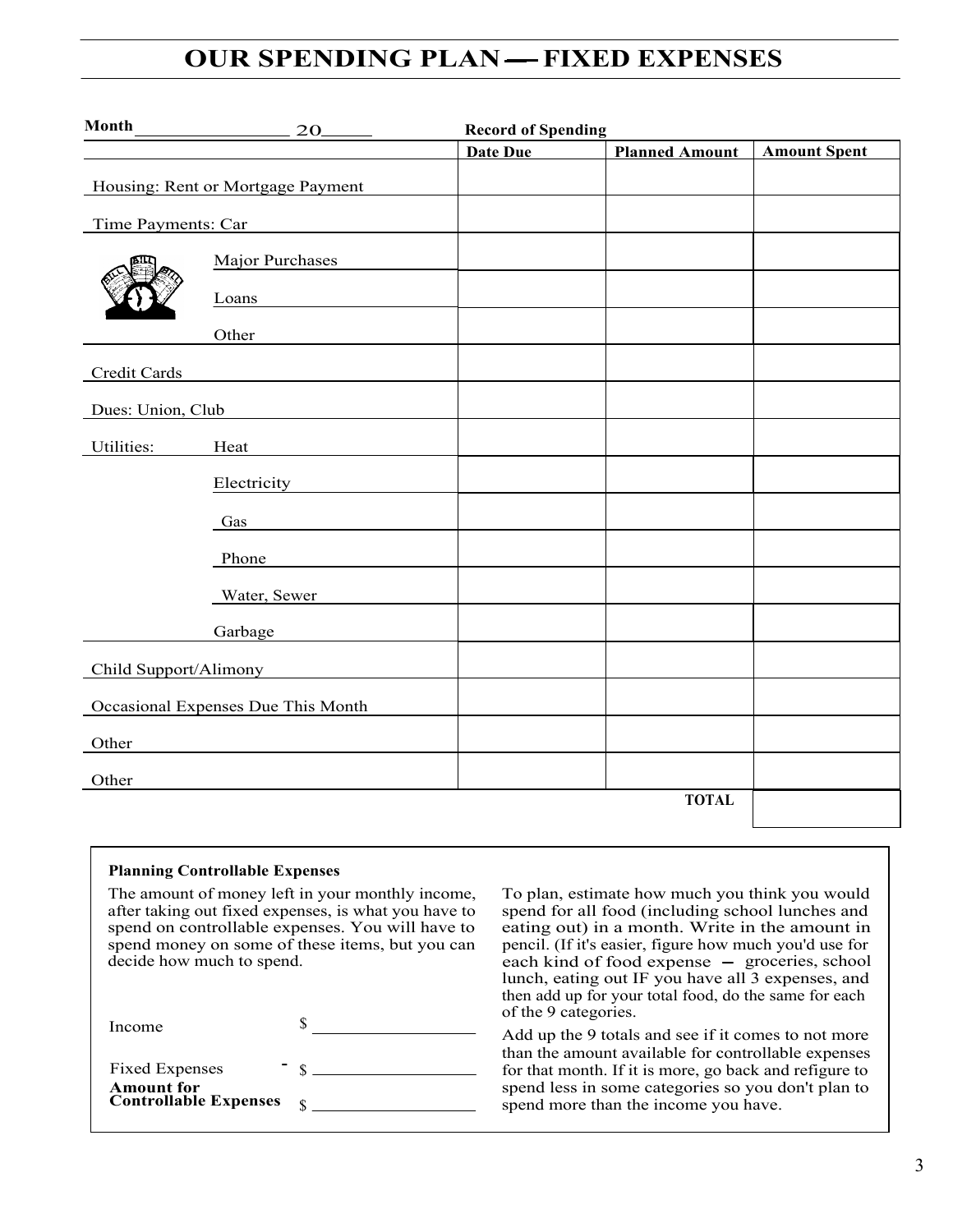#### **OUR SPENDING PLAN FIXED EXPENSES**

| Month                 | 20                                 | <b>Record of Spending</b> |                       |                     |
|-----------------------|------------------------------------|---------------------------|-----------------------|---------------------|
|                       |                                    | Date Due                  | <b>Planned Amount</b> | <b>Amount Spent</b> |
|                       | Housing: Rent or Mortgage Payment  |                           |                       |                     |
| Time Payments: Car    |                                    |                           |                       |                     |
|                       | Major Purchases                    |                           |                       |                     |
|                       | Loans                              |                           |                       |                     |
|                       | Other                              |                           |                       |                     |
| Credit Cards          |                                    |                           |                       |                     |
| Dues: Union, Club     |                                    |                           |                       |                     |
| Utilities:            | Heat                               |                           |                       |                     |
|                       | Electricity                        |                           |                       |                     |
|                       | Gas                                |                           |                       |                     |
|                       | Phone                              |                           |                       |                     |
|                       | Water, Sewer                       |                           |                       |                     |
|                       | Garbage                            |                           |                       |                     |
| Child Support/Alimony |                                    |                           |                       |                     |
|                       | Occasional Expenses Due This Month |                           |                       |                     |
| Other                 |                                    |                           |                       |                     |
| Other                 |                                    |                           |                       |                     |
|                       |                                    |                           | <b>TOTAL</b>          |                     |

#### **Planning Controllable Expenses**

The amount of money left in your monthly income, after taking out fixed expenses, is what you have to spend on controllable expenses. You will have to spend money on some of these items, but you can decide how much to spend.

\$ Income

| <b>Fixed Expenses</b>                             |  |
|---------------------------------------------------|--|
| <b>Amount</b> for<br><b>Controllable Expenses</b> |  |

To plan, estimate how much you think you would spend for all food (including school lunches and eating out) in a month. Write in the amount in pencil. (If it's easier, figure how much you'd use for<br>each kind of food expense – groceries, school each kind of food expense – groceries, school<br>lunch, eating out IF you have all 3 expenses, and then add up for your total food, do the same for each of the 9 categories.

Add up the 9 totals and see if it comes to not more than the amount available for controllable expenses for that month. If it is more, go back and refigure to spend less in some categories so you don't plan to spend more than the income you have.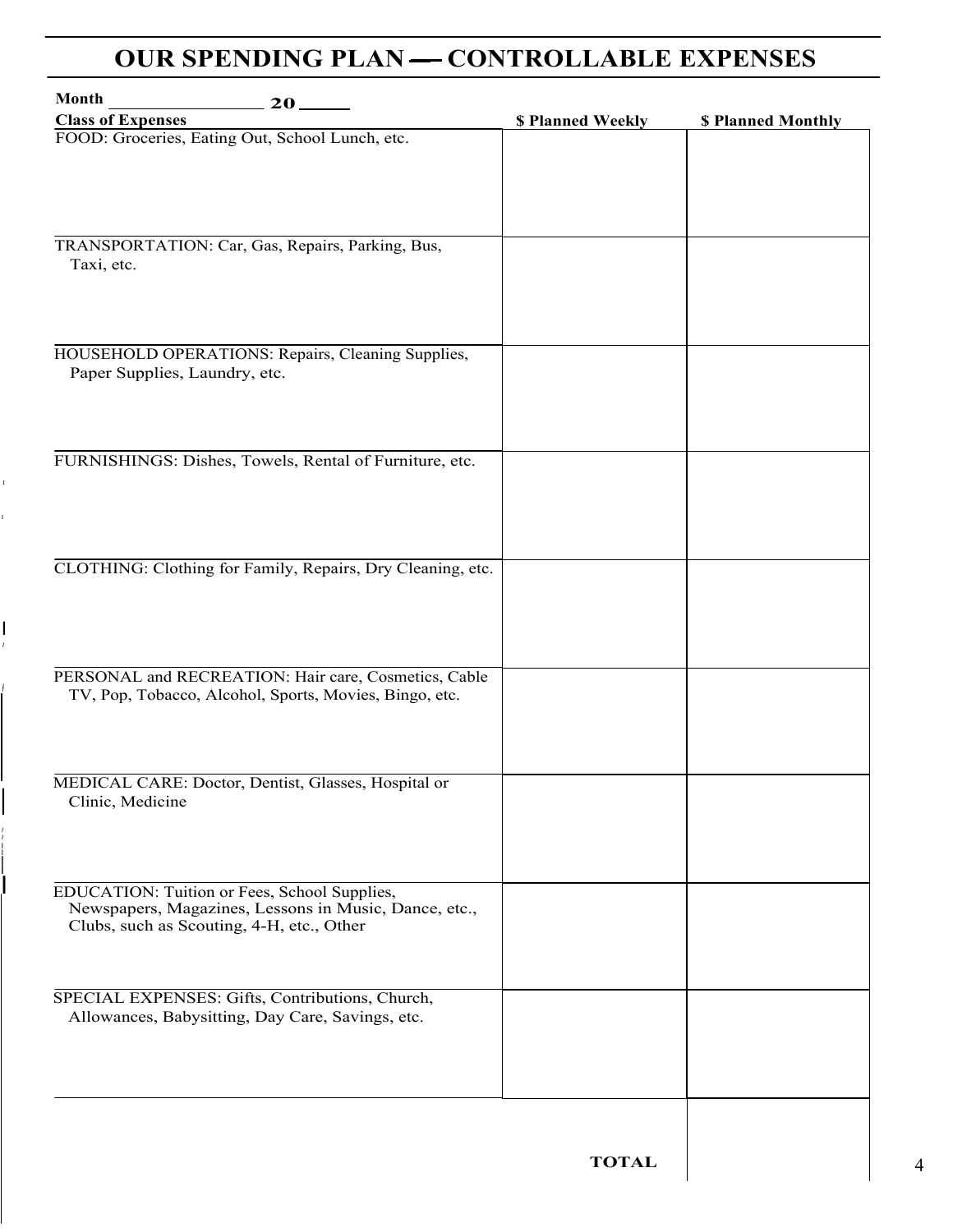### **OUR SPENDING PLAN — CONTROLLABLE EXPENSES**

| <b>Class of Expenses</b>                                   | \$ Planned Weekly | \$ Planned Monthly |
|------------------------------------------------------------|-------------------|--------------------|
| FOOD: Groceries, Eating Out, School Lunch, etc.            |                   |                    |
|                                                            |                   |                    |
|                                                            |                   |                    |
|                                                            |                   |                    |
|                                                            |                   |                    |
|                                                            |                   |                    |
| TRANSPORTATION: Car, Gas, Repairs, Parking, Bus,           |                   |                    |
| Taxi, etc.                                                 |                   |                    |
|                                                            |                   |                    |
|                                                            |                   |                    |
|                                                            |                   |                    |
| HOUSEHOLD OPERATIONS: Repairs, Cleaning Supplies,          |                   |                    |
| Paper Supplies, Laundry, etc.                              |                   |                    |
|                                                            |                   |                    |
|                                                            |                   |                    |
|                                                            |                   |                    |
| FURNISHINGS: Dishes, Towels, Rental of Furniture, etc.     |                   |                    |
|                                                            |                   |                    |
|                                                            |                   |                    |
|                                                            |                   |                    |
|                                                            |                   |                    |
|                                                            |                   |                    |
| CLOTHING: Clothing for Family, Repairs, Dry Cleaning, etc. |                   |                    |
|                                                            |                   |                    |
|                                                            |                   |                    |
|                                                            |                   |                    |
|                                                            |                   |                    |
| PERSONAL and RECREATION: Hair care, Cosmetics, Cable       |                   |                    |
| TV, Pop, Tobacco, Alcohol, Sports, Movies, Bingo, etc.     |                   |                    |
|                                                            |                   |                    |
|                                                            |                   |                    |
|                                                            |                   |                    |
|                                                            |                   |                    |
| MEDICAL CARE: Doctor, Dentist, Glasses, Hospital or        |                   |                    |
| Clinic, Medicine                                           |                   |                    |
|                                                            |                   |                    |
|                                                            |                   |                    |
|                                                            |                   |                    |
| EDUCATION: Tuition or Fees, School Supplies,               |                   |                    |
| Newspapers, Magazines, Lessons in Music, Dance, etc.,      |                   |                    |
| Clubs, such as Scouting, 4-H, etc., Other                  |                   |                    |
|                                                            |                   |                    |
|                                                            |                   |                    |
| SPECIAL EXPENSES: Gifts, Contributions, Church,            |                   |                    |
| Allowances, Babysitting, Day Care, Savings, etc.           |                   |                    |
|                                                            |                   |                    |
|                                                            |                   |                    |
|                                                            |                   |                    |
|                                                            |                   |                    |
|                                                            |                   |                    |
|                                                            |                   |                    |

I

I *I*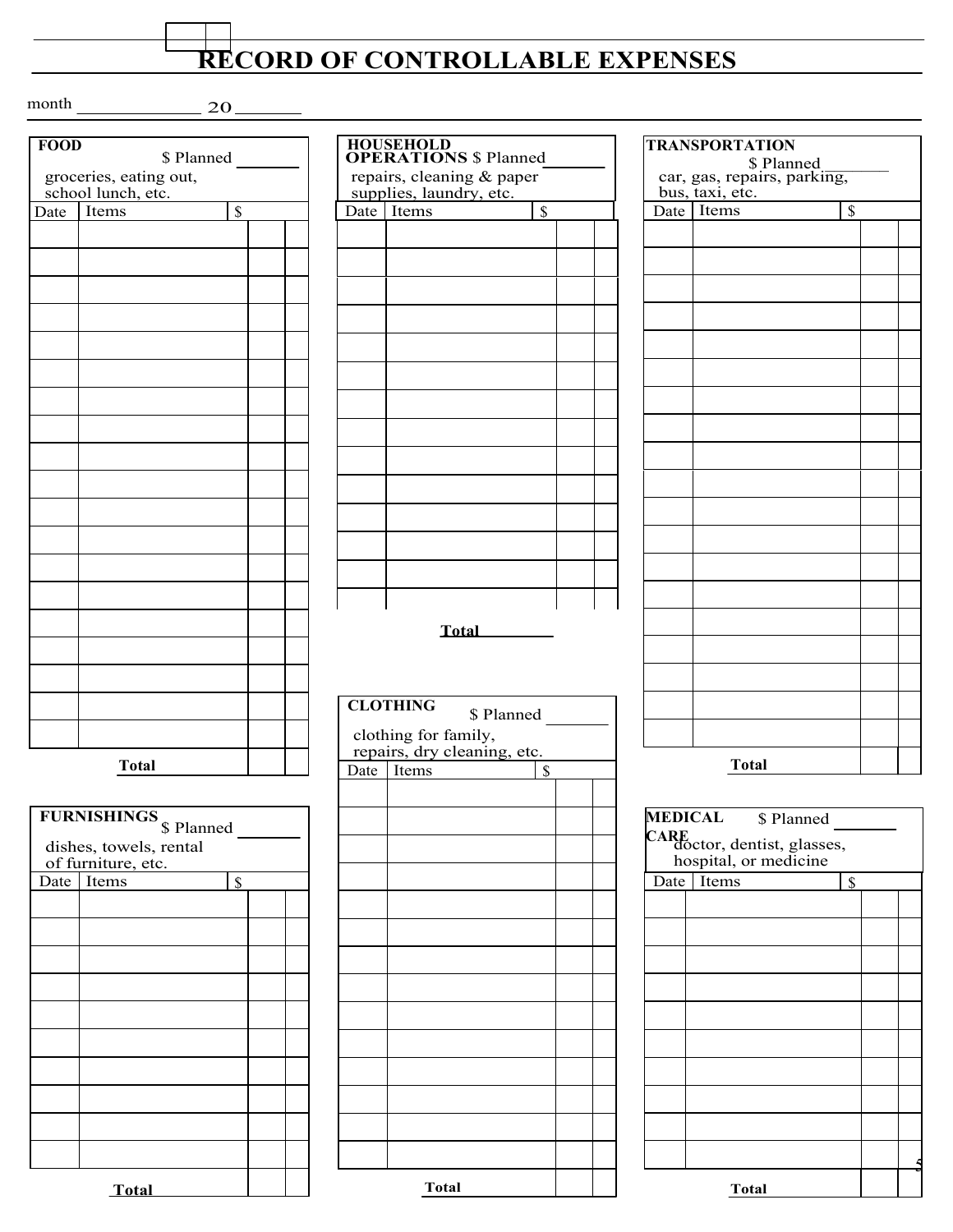## **RECORD OF CONTROLLABLE EXPENSES**

 $month$  20

| <b>FOOD</b> | \$ Planned             |                          |  |      | <b>HOUSEHOLD</b><br><b>OPERATION</b> |
|-------------|------------------------|--------------------------|--|------|--------------------------------------|
|             | groceries, eating out, |                          |  |      | repairs, clean                       |
|             | school lunch, etc.     |                          |  |      | supplies, laur                       |
| Date        | Items                  | $\overline{\mathcal{S}}$ |  | Date | Items                                |
|             |                        |                          |  |      |                                      |
|             |                        |                          |  |      |                                      |
|             |                        |                          |  |      |                                      |
|             |                        |                          |  |      |                                      |
|             |                        |                          |  |      |                                      |
|             |                        |                          |  |      |                                      |
|             |                        |                          |  |      |                                      |
|             |                        |                          |  |      |                                      |
|             |                        |                          |  |      |                                      |
|             |                        |                          |  |      |                                      |
|             |                        |                          |  |      |                                      |
|             |                        |                          |  |      |                                      |
|             |                        |                          |  |      |                                      |
|             |                        |                          |  |      |                                      |
|             |                        |                          |  |      |                                      |
|             |                        |                          |  |      |                                      |
|             |                        |                          |  |      |                                      |
|             |                        |                          |  |      |                                      |
|             |                        |                          |  |      |                                      |
|             |                        |                          |  |      |                                      |
|             |                        |                          |  |      | T                                    |
|             |                        |                          |  |      |                                      |
|             |                        |                          |  |      |                                      |
|             |                        |                          |  |      |                                      |
|             |                        |                          |  |      | <b>CLOTHING</b>                      |
|             |                        |                          |  |      | clothing for f                       |
|             |                        |                          |  |      | repairs, dry c                       |
|             | <b>Total</b>           |                          |  | Date | Items                                |
|             |                        |                          |  |      |                                      |
|             | <b>FURNISHINGS</b>     |                          |  |      |                                      |
|             | \$ Planned             |                          |  |      |                                      |
|             | dishes, towels, rental |                          |  |      |                                      |
|             | of furniture, etc.     |                          |  |      |                                      |
| Date        | Items                  | \$                       |  |      |                                      |
|             |                        |                          |  |      |                                      |
|             |                        |                          |  |      |                                      |
|             |                        |                          |  |      |                                      |
|             |                        |                          |  |      |                                      |
|             |                        |                          |  |      |                                      |
|             |                        |                          |  |      |                                      |
|             |                        |                          |  |      |                                      |
|             |                        |                          |  |      |                                      |
|             |                        |                          |  |      |                                      |
|             |                        |                          |  |      |                                      |
|             |                        |                          |  |      |                                      |

| <b>FOOD</b><br>\$ Planned |                                                                                   |    | <b>HOUSEHOLD<br/>OPERATIONS \$ Planned</b> |                                                     |              | <b>TRANSPORTATION</b><br>\$ Planned |                |                                                            |                    |  |
|---------------------------|-----------------------------------------------------------------------------------|----|--------------------------------------------|-----------------------------------------------------|--------------|-------------------------------------|----------------|------------------------------------------------------------|--------------------|--|
|                           | groceries, eating out,                                                            |    |                                            | repairs, cleaning & paper                           |              |                                     |                | car, gas, repairs, parking,                                |                    |  |
| Date                      | school lunch, etc.<br>Items                                                       | \$ |                                            | supplies, laundry, etc.<br>Date Items               | $\$$         |                                     |                | bus, taxi, etc.<br>Date Items                              | $\$$               |  |
|                           |                                                                                   |    |                                            |                                                     |              |                                     |                |                                                            |                    |  |
|                           |                                                                                   |    |                                            |                                                     |              |                                     |                |                                                            |                    |  |
|                           |                                                                                   |    |                                            |                                                     | <b>Total</b> |                                     |                |                                                            |                    |  |
|                           |                                                                                   |    |                                            | <b>CLOTHING</b>                                     |              |                                     |                |                                                            |                    |  |
|                           |                                                                                   |    |                                            | clothing for family,<br>repairs, dry cleaning, etc. | \$ Planned   |                                     |                |                                                            |                    |  |
|                           | <b>Total</b>                                                                      |    |                                            | Date Items                                          | \$           |                                     |                | <b>Total</b>                                               |                    |  |
|                           | FURNISHINGS <sub>\$</sub> Planned<br>dishes, towels, rental<br>of furniture, etc. |    |                                            |                                                     |              |                                     | <b>MEDICAL</b> | CARE<br>doctor, dentist, glasses,<br>hospital, or medicine | \$ Planned         |  |
| Date                      | Items                                                                             | \$ |                                            |                                                     |              |                                     | Date           | Items                                                      | $\mathbf{\hat{S}}$ |  |
|                           |                                                                                   |    |                                            |                                                     |              |                                     |                |                                                            |                    |  |
|                           |                                                                                   |    |                                            |                                                     |              |                                     |                |                                                            |                    |  |
|                           |                                                                                   |    |                                            |                                                     |              |                                     |                |                                                            |                    |  |
|                           |                                                                                   |    |                                            |                                                     |              |                                     |                |                                                            |                    |  |
|                           |                                                                                   |    |                                            |                                                     |              |                                     |                |                                                            |                    |  |
|                           |                                                                                   |    |                                            |                                                     |              |                                     |                |                                                            |                    |  |
|                           |                                                                                   |    |                                            |                                                     |              |                                     |                |                                                            |                    |  |

bus, taxi, etc.

| <b>INGS</b> <sub>\$</sub> Planned |              | MEDICAL \$ Planned                                         |
|-----------------------------------|--------------|------------------------------------------------------------|
| wels, rental<br>ire, etc.         |              | CARE<br>doctor, dentist, glasses,<br>hospital, or medicine |
| $\mathbf S$<br>1S                 |              | Items<br>Date  <br>$\boldsymbol{\mathsf{S}}$               |
|                                   |              |                                                            |
|                                   |              |                                                            |
|                                   |              |                                                            |
|                                   |              |                                                            |
|                                   |              |                                                            |
|                                   |              |                                                            |
|                                   |              |                                                            |
|                                   |              |                                                            |
|                                   |              |                                                            |
|                                   |              |                                                            |
| <b>Total</b>                      | <b>Total</b> | <b>Total</b>                                               |

l ı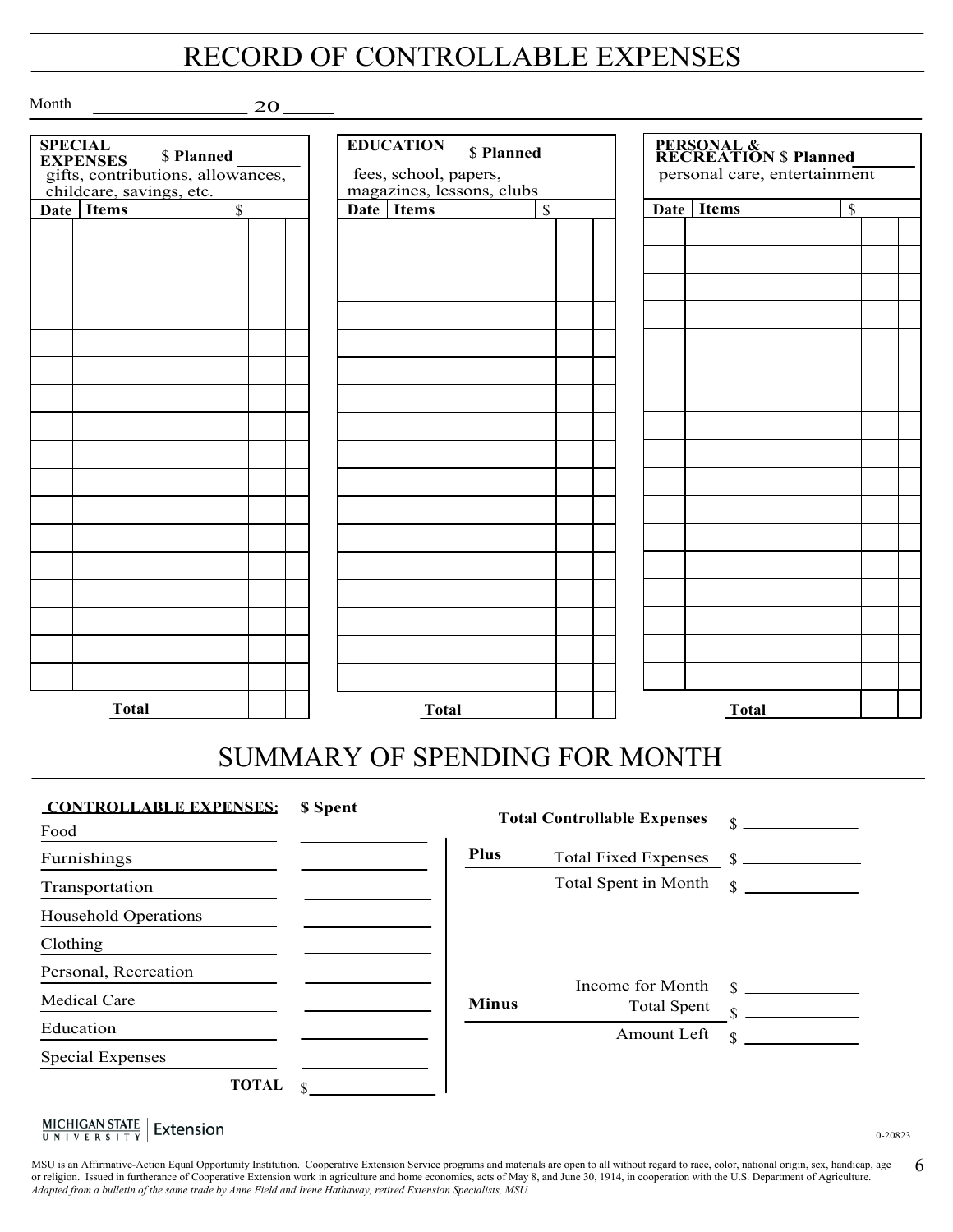### RECORD OF CONTROLLABLE EXPENSES

Month

j

20

| <b>SPECIAL</b><br>\$ Planned<br><b>EXPENSES</b><br>gifts, contributions, allowances,<br>childcare, savings, etc. |              |                          | <b>EDUCATION</b><br>\$ Planned<br>fees, school, papers,<br>magazines, lessons, clubs |              |                          | <b>PERSONAL &amp;<br/>RECREATION \$ Planned</b><br>personal care, entertainment |  |              |               |  |  |
|------------------------------------------------------------------------------------------------------------------|--------------|--------------------------|--------------------------------------------------------------------------------------|--------------|--------------------------|---------------------------------------------------------------------------------|--|--------------|---------------|--|--|
|                                                                                                                  | Date Items   | $\overline{\mathcal{S}}$ |                                                                                      | Date Items   | $\overline{\mathcal{S}}$ |                                                                                 |  | Date Items   | $\mathcal{S}$ |  |  |
|                                                                                                                  |              |                          |                                                                                      |              |                          |                                                                                 |  |              |               |  |  |
|                                                                                                                  |              |                          |                                                                                      |              |                          |                                                                                 |  |              |               |  |  |
|                                                                                                                  |              |                          |                                                                                      |              |                          |                                                                                 |  |              |               |  |  |
|                                                                                                                  |              |                          |                                                                                      |              |                          |                                                                                 |  |              |               |  |  |
|                                                                                                                  |              |                          |                                                                                      |              |                          |                                                                                 |  |              |               |  |  |
|                                                                                                                  |              |                          |                                                                                      |              |                          |                                                                                 |  |              |               |  |  |
|                                                                                                                  |              |                          |                                                                                      |              |                          |                                                                                 |  |              |               |  |  |
|                                                                                                                  |              |                          |                                                                                      |              |                          |                                                                                 |  |              |               |  |  |
|                                                                                                                  |              |                          |                                                                                      |              |                          |                                                                                 |  |              |               |  |  |
|                                                                                                                  |              |                          |                                                                                      |              |                          |                                                                                 |  |              |               |  |  |
|                                                                                                                  |              |                          |                                                                                      |              |                          |                                                                                 |  |              |               |  |  |
|                                                                                                                  |              |                          |                                                                                      |              |                          |                                                                                 |  |              |               |  |  |
|                                                                                                                  |              |                          |                                                                                      |              |                          |                                                                                 |  |              |               |  |  |
|                                                                                                                  |              |                          |                                                                                      |              |                          |                                                                                 |  |              |               |  |  |
|                                                                                                                  |              |                          |                                                                                      |              |                          |                                                                                 |  |              |               |  |  |
|                                                                                                                  |              |                          |                                                                                      |              |                          |                                                                                 |  |              |               |  |  |
|                                                                                                                  |              |                          |                                                                                      |              |                          |                                                                                 |  |              |               |  |  |
|                                                                                                                  |              |                          |                                                                                      |              |                          |                                                                                 |  |              |               |  |  |
|                                                                                                                  |              |                          |                                                                                      |              |                          |                                                                                 |  |              |               |  |  |
|                                                                                                                  |              |                          |                                                                                      |              |                          |                                                                                 |  |              |               |  |  |
|                                                                                                                  |              |                          |                                                                                      |              |                          |                                                                                 |  |              |               |  |  |
|                                                                                                                  |              |                          |                                                                                      |              |                          |                                                                                 |  |              |               |  |  |
|                                                                                                                  |              |                          |                                                                                      |              |                          |                                                                                 |  |              |               |  |  |
|                                                                                                                  |              |                          |                                                                                      |              |                          |                                                                                 |  |              |               |  |  |
|                                                                                                                  | <b>Total</b> |                          |                                                                                      | <b>Total</b> |                          |                                                                                 |  | <b>Total</b> |               |  |  |

### SUMMARY OF SPENDING FOR MONTH

| <b>CONTROLLABLE EXPENSES:</b> | \$ Spent | <b>Total Controllable Expenses</b> |                                        | \$                  |
|-------------------------------|----------|------------------------------------|----------------------------------------|---------------------|
| Food                          |          |                                    |                                        |                     |
| Furnishings                   |          | <b>Plus</b>                        | <b>Total Fixed Expenses</b>            |                     |
| Transportation                |          |                                    | Total Spent in Month                   | $\mathbf S$         |
| <b>Household Operations</b>   |          |                                    |                                        |                     |
| Clothing                      |          |                                    |                                        |                     |
| Personal, Recreation          |          |                                    |                                        |                     |
| <b>Medical Care</b>           |          | <b>Minus</b>                       | Income for Month<br><b>Total Spent</b> | $\mathcal{S}$<br>\$ |
| Education                     |          |                                    | Amount Left                            | \$                  |
| <b>Special Expenses</b>       |          |                                    |                                        |                     |
| <b>TOTAL</b>                  |          |                                    |                                        |                     |

 $\frac{\text{MICHIGAN STATE}}{\text{UNIVERSITY}}$  Extension

0-20823

6 MSU is an Affirmative-Action Equal Opportunity Institution. Cooperative Extension Service programs and materials are open to all without regard to race, color, national origin, sex, handicap, age or religion. Issued in furtherance of Cooperative Extension work in agriculture and home economics, acts of May 8, and June 30, 1914, in cooperation with the U.S. Department of Agriculture. *Adapted from a bulletin of the same trade by Anne Field and Irene Hathaway, retired Extension Specialists, MSU.*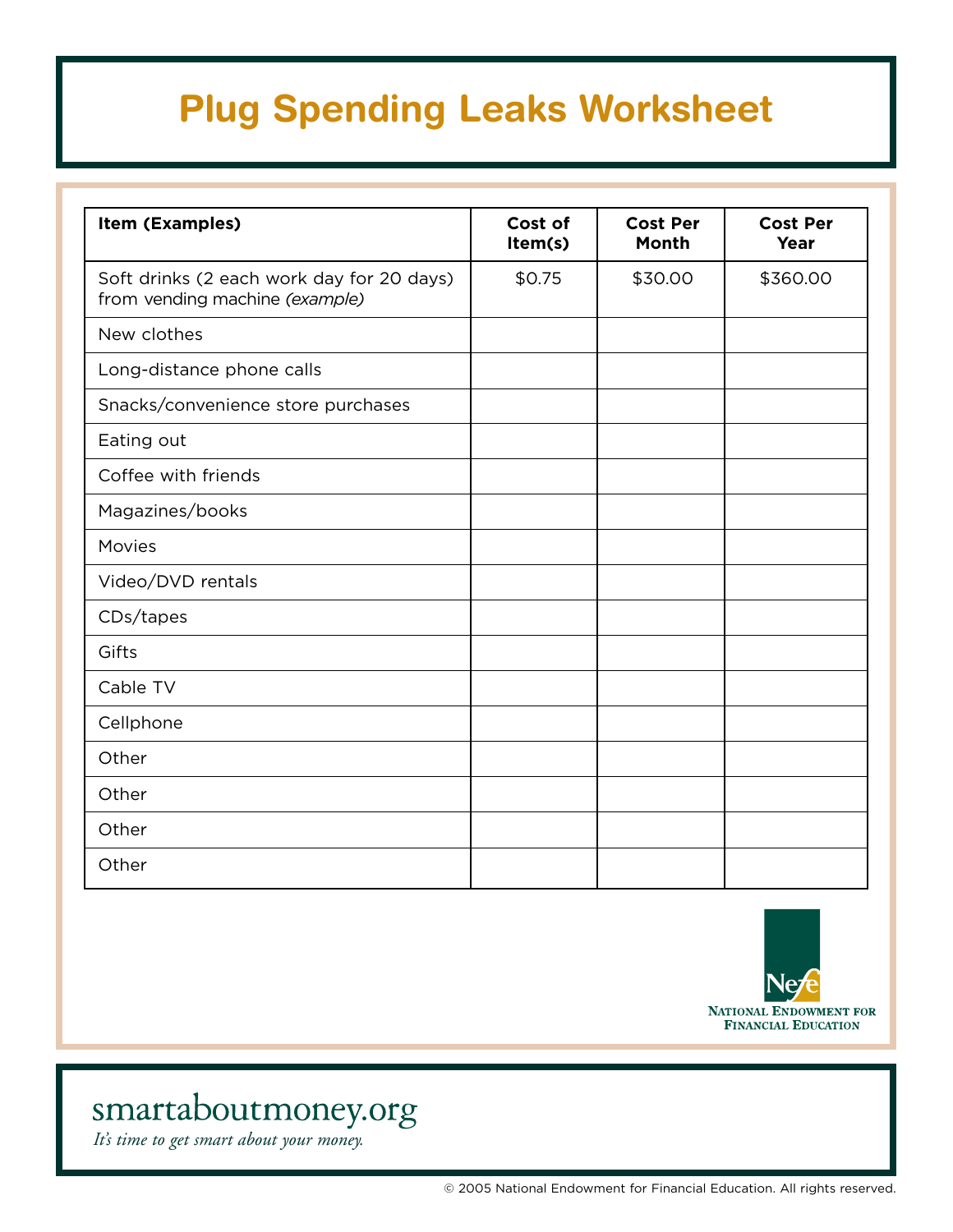# **Plug Spending Leaks Worksheet**

| Item (Examples)                                                             | Cost of<br>Item(s) | <b>Cost Per</b><br><b>Month</b> | <b>Cost Per</b><br>Year |
|-----------------------------------------------------------------------------|--------------------|---------------------------------|-------------------------|
| Soft drinks (2 each work day for 20 days)<br>from vending machine (example) | \$0.75             | \$30.00                         | \$360.00                |
| New clothes                                                                 |                    |                                 |                         |
| Long-distance phone calls                                                   |                    |                                 |                         |
| Snacks/convenience store purchases                                          |                    |                                 |                         |
| Eating out                                                                  |                    |                                 |                         |
| Coffee with friends                                                         |                    |                                 |                         |
| Magazines/books                                                             |                    |                                 |                         |
| Movies                                                                      |                    |                                 |                         |
| Video/DVD rentals                                                           |                    |                                 |                         |
| CDs/tapes                                                                   |                    |                                 |                         |
| Gifts                                                                       |                    |                                 |                         |
| Cable TV                                                                    |                    |                                 |                         |
| Cellphone                                                                   |                    |                                 |                         |
| Other                                                                       |                    |                                 |                         |
| Other                                                                       |                    |                                 |                         |
| Other                                                                       |                    |                                 |                         |
| Other                                                                       |                    |                                 |                         |



## smartaboutmoney.org

*It's time to get smart about your money.*